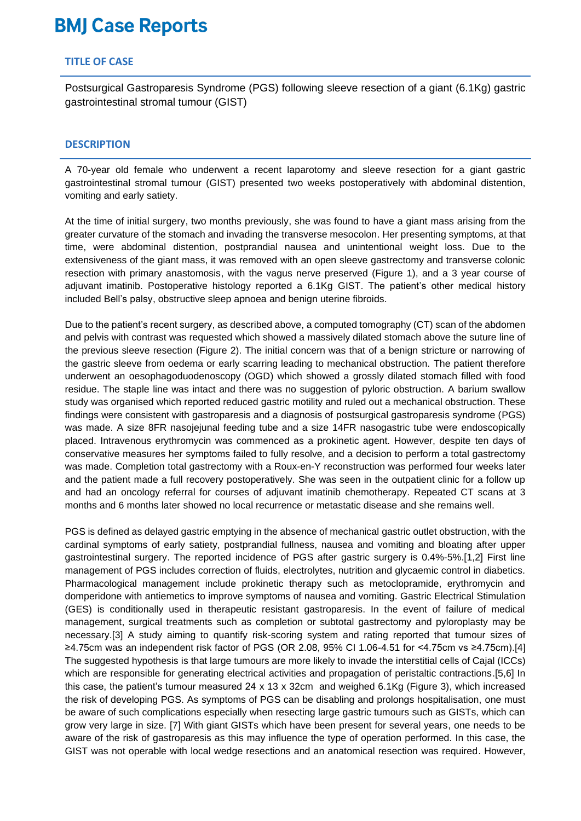# **BMJ Case Reports**

## **TITLE OF CASE**

Postsurgical Gastroparesis Syndrome (PGS) following sleeve resection of a giant (6.1Kg) gastric gastrointestinal stromal tumour (GIST)

#### **DESCRIPTION**

A 70-year old female who underwent a recent laparotomy and sleeve resection for a giant gastric gastrointestinal stromal tumour (GIST) presented two weeks postoperatively with abdominal distention, vomiting and early satiety.

At the time of initial surgery, two months previously, she was found to have a giant mass arising from the greater curvature of the stomach and invading the transverse mesocolon. Her presenting symptoms, at that time, were abdominal distention, postprandial nausea and unintentional weight loss. Due to the extensiveness of the giant mass, it was removed with an open sleeve gastrectomy and transverse colonic resection with primary anastomosis, with the vagus nerve preserved (Figure 1), and a 3 year course of adjuvant imatinib. Postoperative histology reported a 6.1Kg GIST. The patient's other medical history included Bell's palsy, obstructive sleep apnoea and benign uterine fibroids.

Due to the patient's recent surgery, as described above, a computed tomography (CT) scan of the abdomen and pelvis with contrast was requested which showed a massively dilated stomach above the suture line of the previous sleeve resection (Figure 2). The initial concern was that of a benign stricture or narrowing of the gastric sleeve from oedema or early scarring leading to mechanical obstruction. The patient therefore underwent an oesophagoduodenoscopy (OGD) which showed a grossly dilated stomach filled with food residue. The staple line was intact and there was no suggestion of pyloric obstruction. A barium swallow study was organised which reported reduced gastric motility and ruled out a mechanical obstruction. These findings were consistent with gastroparesis and a diagnosis of postsurgical gastroparesis syndrome (PGS) was made. A size 8FR nasojejunal feeding tube and a size 14FR nasogastric tube were endoscopically placed. Intravenous erythromycin was commenced as a prokinetic agent. However, despite ten days of conservative measures her symptoms failed to fully resolve, and a decision to perform a total gastrectomy was made. Completion total gastrectomy with a Roux-en-Y reconstruction was performed four weeks later and the patient made a full recovery postoperatively. She was seen in the outpatient clinic for a follow up and had an oncology referral for courses of adjuvant imatinib chemotherapy. Repeated CT scans at 3 months and 6 months later showed no local recurrence or metastatic disease and she remains well.

PGS is defined as delayed gastric emptying in the absence of mechanical gastric outlet obstruction, with the cardinal symptoms of early satiety, postprandial fullness, nausea and vomiting and bloating after upper gastrointestinal surgery. The reported incidence of PGS after gastric surgery is 0.4%-5%.[1,2] First line management of PGS includes correction of fluids, electrolytes, nutrition and glycaemic control in diabetics. Pharmacological management include prokinetic therapy such as metoclopramide, erythromycin and domperidone with antiemetics to improve symptoms of nausea and vomiting. Gastric Electrical Stimulation (GES) is conditionally used in therapeutic resistant gastroparesis. In the event of failure of medical management, surgical treatments such as completion or subtotal gastrectomy and pyloroplasty may be necessary.[3] A study aiming to quantify risk-scoring system and rating reported that tumour sizes of ≥4.75cm was an independent risk factor of PGS (OR 2.08, 95% CI 1.06-4.51 for <4.75cm vs ≥4.75cm).[4] The suggested hypothesis is that large tumours are more likely to invade the interstitial cells of Cajal (ICCs) which are responsible for generating electrical activities and propagation of peristaltic contractions.[5,6] In this case, the patient's tumour measured 24 x 13 x 32cm and weighed 6.1Kg (Figure 3), which increased the risk of developing PGS. As symptoms of PGS can be disabling and prolongs hospitalisation, one must be aware of such complications especially when resecting large gastric tumours such as GISTs, which can grow very large in size. [7] With giant GISTs which have been present for several years, one needs to be aware of the risk of gastroparesis as this may influence the type of operation performed. In this case, the GIST was not operable with local wedge resections and an anatomical resection was required. However,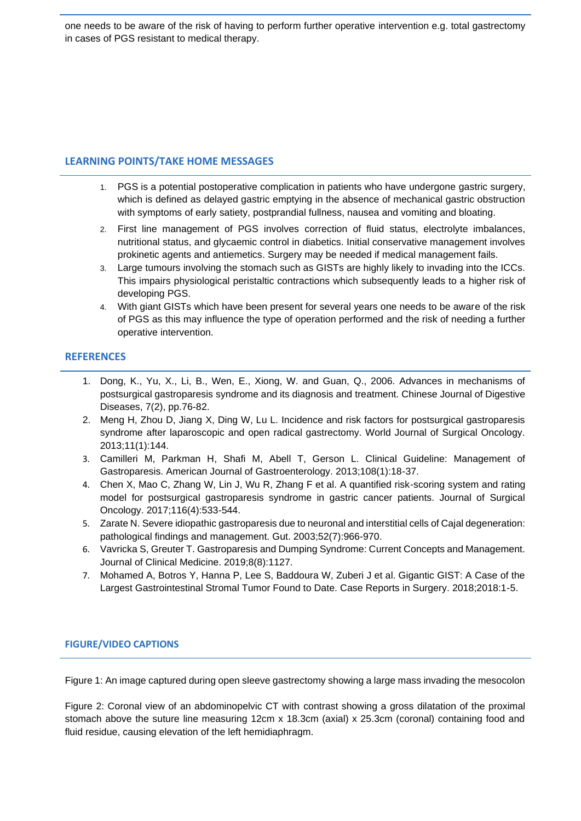one needs to be aware of the risk of having to perform further operative intervention e.g. total gastrectomy in cases of PGS resistant to medical therapy.

# **LEARNING POINTS/TAKE HOME MESSAGES**

- 1. PGS is a potential postoperative complication in patients who have undergone gastric surgery, which is defined as delayed gastric emptying in the absence of mechanical gastric obstruction with symptoms of early satiety, postprandial fullness, nausea and vomiting and bloating.
- 2. First line management of PGS involves correction of fluid status, electrolyte imbalances, nutritional status, and glycaemic control in diabetics. Initial conservative management involves prokinetic agents and antiemetics. Surgery may be needed if medical management fails.
- 3. Large tumours involving the stomach such as GISTs are highly likely to invading into the ICCs. This impairs physiological peristaltic contractions which subsequently leads to a higher risk of developing PGS.
- 4. With giant GISTs which have been present for several years one needs to be aware of the risk of PGS as this may influence the type of operation performed and the risk of needing a further operative intervention.

# **REFERENCES**

- 1. Dong, K., Yu, X., Li, B., Wen, E., Xiong, W. and Guan, Q., 2006. Advances in mechanisms of postsurgical gastroparesis syndrome and its diagnosis and treatment. Chinese Journal of Digestive Diseases, 7(2), pp.76-82.
- 2. Meng H, Zhou D, Jiang X, Ding W, Lu L. Incidence and risk factors for postsurgical gastroparesis syndrome after laparoscopic and open radical gastrectomy. World Journal of Surgical Oncology. 2013;11(1):144.
- 3. Camilleri M, Parkman H, Shafi M, Abell T, Gerson L. Clinical Guideline: Management of Gastroparesis. American Journal of Gastroenterology. 2013;108(1):18-37.
- 4. Chen X, Mao C, Zhang W, Lin J, Wu R, Zhang F et al. A quantified risk-scoring system and rating model for postsurgical gastroparesis syndrome in gastric cancer patients. Journal of Surgical Oncology. 2017;116(4):533-544.
- 5. Zarate N. Severe idiopathic gastroparesis due to neuronal and interstitial cells of Cajal degeneration: pathological findings and management. Gut. 2003;52(7):966-970.
- 6. Vavricka S, Greuter T. Gastroparesis and Dumping Syndrome: Current Concepts and Management. Journal of Clinical Medicine. 2019;8(8):1127.
- 7. Mohamed A, Botros Y, Hanna P, Lee S, Baddoura W, Zuberi J et al. Gigantic GIST: A Case of the Largest Gastrointestinal Stromal Tumor Found to Date. Case Reports in Surgery. 2018;2018:1-5.

## **FIGURE/VIDEO CAPTIONS**

Figure 1: An image captured during open sleeve gastrectomy showing a large mass invading the mesocolon

Figure 2: Coronal view of an abdominopelvic CT with contrast showing a gross dilatation of the proximal stomach above the suture line measuring 12cm x 18.3cm (axial) x 25.3cm (coronal) containing food and fluid residue, causing elevation of the left hemidiaphragm.